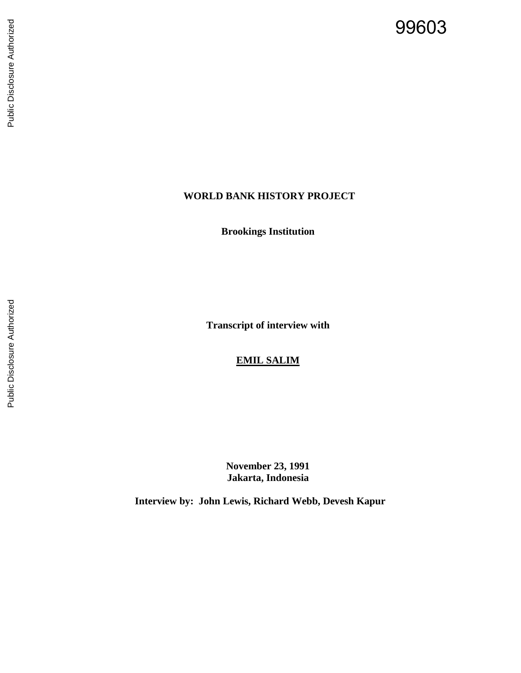# 99603

# **WORLD BANK HISTORY PROJECT**

**Brookings Institution**

**Transcript of interview with**

# **EMIL SALIM**

**November 23, 1991 Jakarta, Indonesia**

**Interview by: John Lewis, Richard Webb, Devesh Kapur**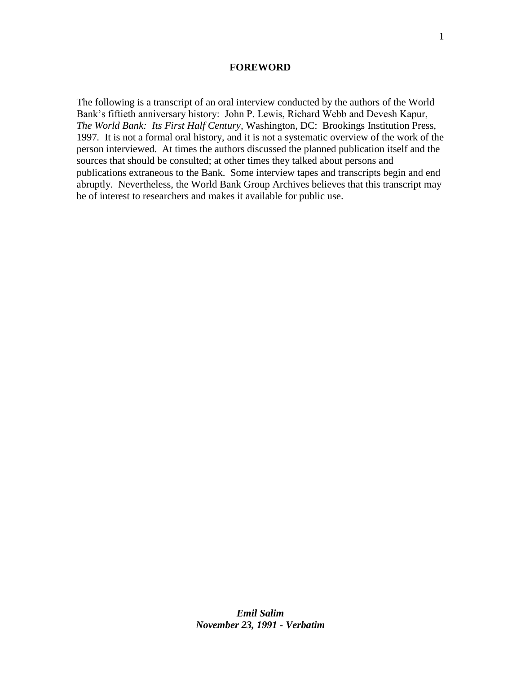#### **FOREWORD**

The following is a transcript of an oral interview conducted by the authors of the World Bank's fiftieth anniversary history: John P. Lewis, Richard Webb and Devesh Kapur, *The World Bank: Its First Half Century,* Washington, DC: Brookings Institution Press, 1997*.* It is not a formal oral history, and it is not a systematic overview of the work of the person interviewed. At times the authors discussed the planned publication itself and the sources that should be consulted; at other times they talked about persons and publications extraneous to the Bank. Some interview tapes and transcripts begin and end abruptly. Nevertheless, the World Bank Group Archives believes that this transcript may be of interest to researchers and makes it available for public use.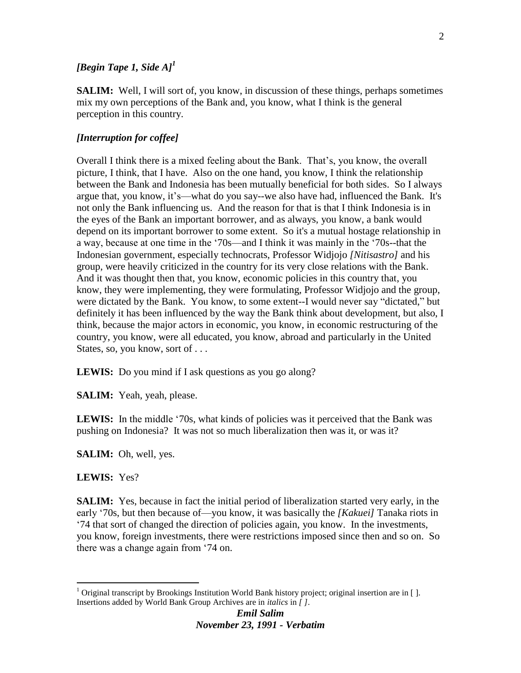# *[Begin Tape 1, Side A]<sup>1</sup>*

**SALIM:** Well, I will sort of, you know, in discussion of these things, perhaps sometimes mix my own perceptions of the Bank and, you know, what I think is the general perception in this country.

#### *[Interruption for coffee]*

Overall I think there is a mixed feeling about the Bank. That's, you know, the overall picture, I think, that I have. Also on the one hand, you know, I think the relationship between the Bank and Indonesia has been mutually beneficial for both sides. So I always argue that, you know, it's—what do you say--we also have had, influenced the Bank. It's not only the Bank influencing us. And the reason for that is that I think Indonesia is in the eyes of the Bank an important borrower, and as always, you know, a bank would depend on its important borrower to some extent. So it's a mutual hostage relationship in a way, because at one time in the '70s—and I think it was mainly in the '70s--that the Indonesian government, especially technocrats, Professor Widjojo *[Nitisastro]* and his group, were heavily criticized in the country for its very close relations with the Bank. And it was thought then that, you know, economic policies in this country that, you know, they were implementing, they were formulating, Professor Widjojo and the group, were dictated by the Bank. You know, to some extent--I would never say "dictated," but definitely it has been influenced by the way the Bank think about development, but also, I think, because the major actors in economic, you know, in economic restructuring of the country, you know, were all educated, you know, abroad and particularly in the United States, so, you know, sort of . . .

**LEWIS:** Do you mind if I ask questions as you go along?

**SALIM:** Yeah, yeah, please.

**LEWIS:** In the middle '70s, what kinds of policies was it perceived that the Bank was pushing on Indonesia? It was not so much liberalization then was it, or was it?

**SALIM:** Oh, well, yes.

**LEWIS:** Yes?

 $\overline{a}$ 

**SALIM:** Yes, because in fact the initial period of liberalization started very early, in the early '70s, but then because of—you know, it was basically the *[Kakuei]* Tanaka riots in '74 that sort of changed the direction of policies again, you know. In the investments, you know, foreign investments, there were restrictions imposed since then and so on. So there was a change again from '74 on.

<sup>&</sup>lt;sup>1</sup> Original transcript by Brookings Institution World Bank history project; original insertion are in  $\lceil \cdot \rceil$ . Insertions added by World Bank Group Archives are in *italics* in *[ ]*.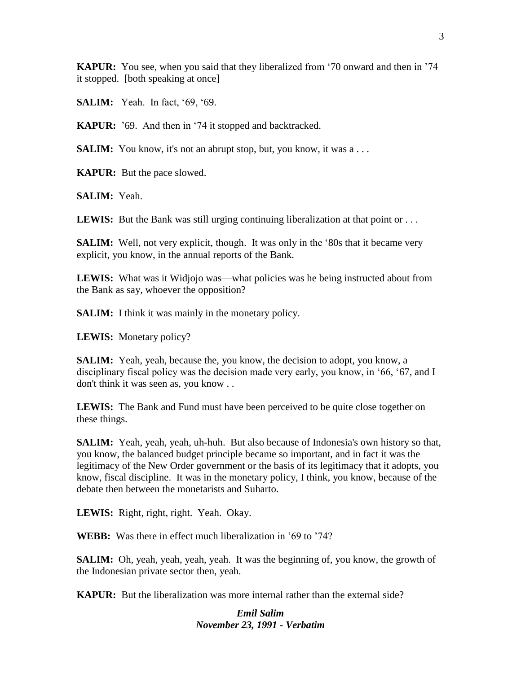**KAPUR:** You see, when you said that they liberalized from '70 onward and then in '74 it stopped. [both speaking at once]

**SALIM:** Yeah. In fact, '69, '69.

**KAPUR:** '69. And then in '74 it stopped and backtracked.

**SALIM:** You know, it's not an abrupt stop, but, you know, it was a...

**KAPUR:** But the pace slowed.

**SALIM:** Yeah.

**LEWIS:** But the Bank was still urging continuing liberalization at that point or ...

**SALIM:** Well, not very explicit, though. It was only in the '80s that it became very explicit, you know, in the annual reports of the Bank.

**LEWIS:** What was it Widjojo was—what policies was he being instructed about from the Bank as say, whoever the opposition?

**SALIM:** I think it was mainly in the monetary policy.

**LEWIS:** Monetary policy?

**SALIM:** Yeah, yeah, because the, you know, the decision to adopt, you know, a disciplinary fiscal policy was the decision made very early, you know, in '66, '67, and I don't think it was seen as, you know . .

**LEWIS:** The Bank and Fund must have been perceived to be quite close together on these things.

**SALIM:** Yeah, yeah, yeah, uh-huh. But also because of Indonesia's own history so that, you know, the balanced budget principle became so important, and in fact it was the legitimacy of the New Order government or the basis of its legitimacy that it adopts, you know, fiscal discipline. It was in the monetary policy, I think, you know, because of the debate then between the monetarists and Suharto.

**LEWIS:** Right, right, right. Yeah. Okay.

**WEBB:** Was there in effect much liberalization in '69 to '74?

**SALIM:** Oh, yeah, yeah, yeah, yeah. It was the beginning of, you know, the growth of the Indonesian private sector then, yeah.

**KAPUR:** But the liberalization was more internal rather than the external side?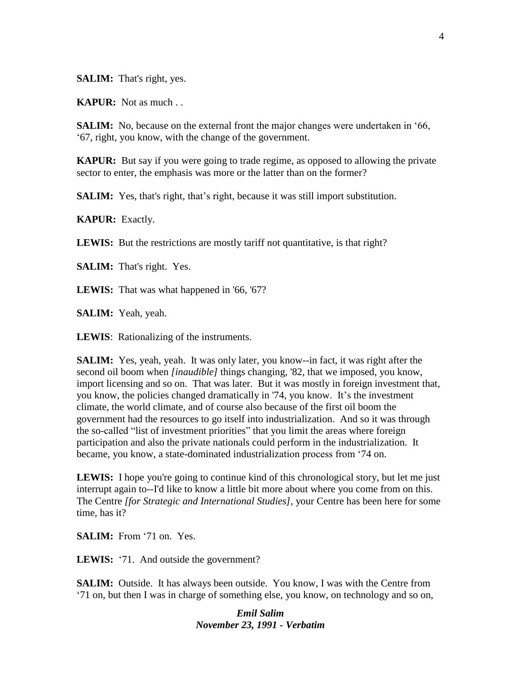**SALIM:** That's right, yes.

**KAPUR:** Not as much . .

**SALIM:** No, because on the external front the major changes were undertaken in '66, '67, right, you know, with the change of the government.

**KAPUR:** But say if you were going to trade regime, as opposed to allowing the private sector to enter, the emphasis was more or the latter than on the former?

**SALIM:** Yes, that's right, that's right, because it was still import substitution.

**KAPUR:** Exactly.

LEWIS: But the restrictions are mostly tariff not quantitative, is that right?

**SALIM:** That's right. Yes.

**LEWIS:** That was what happened in '66, '67?

**SALIM:** Yeah, yeah.

**LEWIS**: Rationalizing of the instruments.

**SALIM:** Yes, yeah, yeah. It was only later, you know--in fact, it was right after the second oil boom when *[inaudible]* things changing, '82, that we imposed, you know, import licensing and so on. That was later. But it was mostly in foreign investment that, you know, the policies changed dramatically in '74, you know. It's the investment climate, the world climate, and of course also because of the first oil boom the government had the resources to go itself into industrialization. And so it was through the so-called "list of investment priorities" that you limit the areas where foreign participation and also the private nationals could perform in the industrialization. It became, you know, a state-dominated industrialization process from '74 on.

**LEWIS:** I hope you're going to continue kind of this chronological story, but let me just interrupt again to--I'd like to know a little bit more about where you come from on this. The Centre *[for Strategic and International Studies]*, your Centre has been here for some time, has it?

**SALIM:** From '71 on. Yes.

**LEWIS:** '71. And outside the government?

**SALIM:** Outside. It has always been outside. You know, I was with the Centre from '71 on, but then I was in charge of something else, you know, on technology and so on,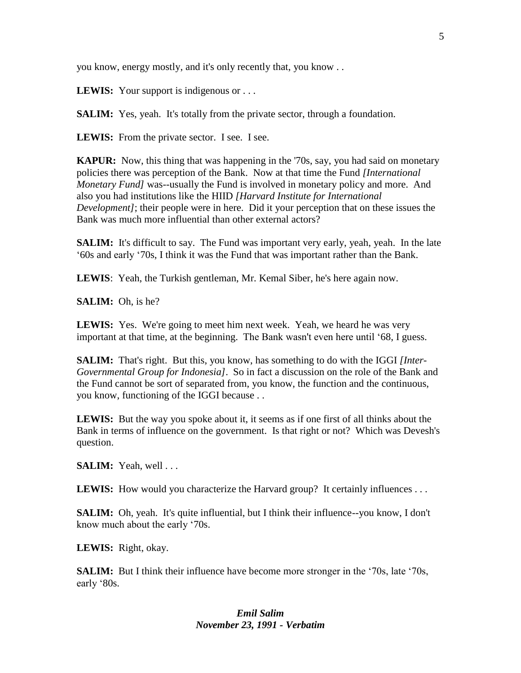you know, energy mostly, and it's only recently that, you know . .

**LEWIS:** Your support is indigenous or . . .

**SALIM:** Yes, yeah. It's totally from the private sector, through a foundation.

**LEWIS:** From the private sector. I see. I see.

**KAPUR:** Now, this thing that was happening in the '70s, say, you had said on monetary policies there was perception of the Bank. Now at that time the Fund *[International Monetary Fund]* was--usually the Fund is involved in monetary policy and more.And also you had institutions like the HIID *[Harvard Institute for International Development]*; their people were in here. Did it your perception that on these issues the Bank was much more influential than other external actors?

**SALIM:** It's difficult to say. The Fund was important very early, yeah, yeah. In the late '60s and early '70s, I think it was the Fund that was important rather than the Bank.

**LEWIS**: Yeah, the Turkish gentleman, Mr. Kemal Siber, he's here again now.

**SALIM:** Oh, is he?

**LEWIS:** Yes. We're going to meet him next week. Yeah, we heard he was very important at that time, at the beginning. The Bank wasn't even here until '68, I guess.

**SALIM:** That's right. But this, you know, has something to do with the IGGI *[Inter-Governmental Group for Indonesia]*. So in fact a discussion on the role of the Bank and the Fund cannot be sort of separated from, you know, the function and the continuous, you know, functioning of the IGGI because . .

**LEWIS:** But the way you spoke about it, it seems as if one first of all thinks about the Bank in terms of influence on the government. Is that right or not? Which was Devesh's question.

**SALIM:** Yeah, well . . .

**LEWIS:** How would you characterize the Harvard group? It certainly influences ...

**SALIM:** Oh, yeah. It's quite influential, but I think their influence--you know, I don't know much about the early '70s.

**LEWIS:** Right, okay.

**SALIM:** But I think their influence have become more stronger in the '70s, late '70s, early '80s.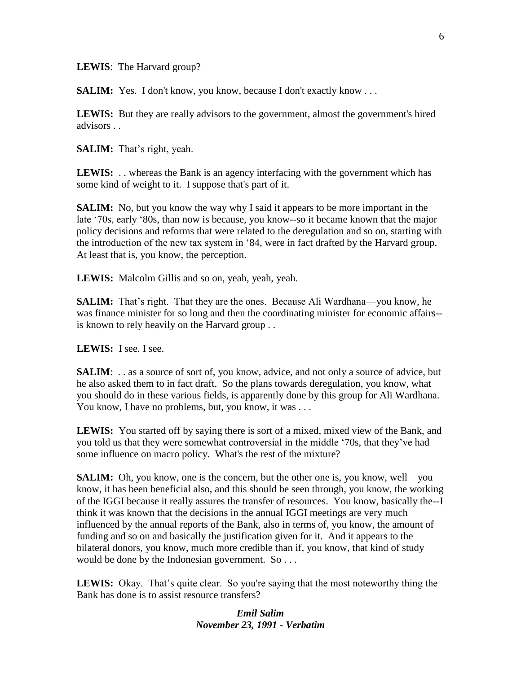**LEWIS**: The Harvard group?

**SALIM:** Yes. I don't know, you know, because I don't exactly know . . .

**LEWIS:** But they are really advisors to the government, almost the government's hired advisors . .

**SALIM:** That's right, yeah.

**LEWIS:** . . whereas the Bank is an agency interfacing with the government which has some kind of weight to it. I suppose that's part of it.

**SALIM:** No, but you know the way why I said it appears to be more important in the late '70s, early '80s, than now is because, you know--so it became known that the major policy decisions and reforms that were related to the deregulation and so on, starting with the introduction of the new tax system in '84, were in fact drafted by the Harvard group. At least that is, you know, the perception.

**LEWIS:** Malcolm Gillis and so on, yeah, yeah, yeah.

**SALIM:** That's right. That they are the ones. Because Ali Wardhana—you know, he was finance minister for so long and then the coordinating minister for economic affairs- is known to rely heavily on the Harvard group . .

**LEWIS:** I see. I see.

**SALIM:** . . as a source of sort of, you know, advice, and not only a source of advice, but he also asked them to in fact draft. So the plans towards deregulation, you know, what you should do in these various fields, is apparently done by this group for Ali Wardhana. You know, I have no problems, but, you know, it was . . .

**LEWIS:** You started off by saying there is sort of a mixed, mixed view of the Bank, and you told us that they were somewhat controversial in the middle '70s, that they've had some influence on macro policy. What's the rest of the mixture?

**SALIM:** Oh, you know, one is the concern, but the other one is, you know, well—you know, it has been beneficial also, and this should be seen through, you know, the working of the IGGI because it really assures the transfer of resources. You know, basically the--I think it was known that the decisions in the annual IGGI meetings are very much influenced by the annual reports of the Bank, also in terms of, you know, the amount of funding and so on and basically the justification given for it. And it appears to the bilateral donors, you know, much more credible than if, you know, that kind of study would be done by the Indonesian government. So . . .

**LEWIS:** Okay. That's quite clear. So you're saying that the most noteworthy thing the Bank has done is to assist resource transfers?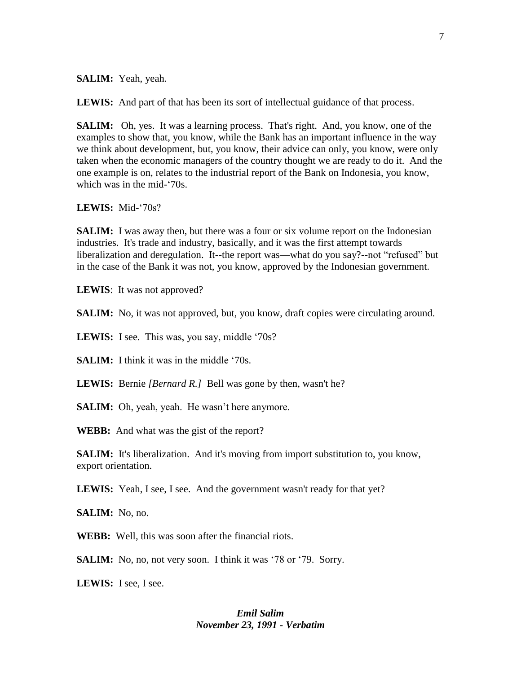**SALIM:** Yeah, yeah.

**LEWIS:** And part of that has been its sort of intellectual guidance of that process.

**SALIM:** Oh, yes. It was a learning process. That's right. And, you know, one of the examples to show that, you know, while the Bank has an important influence in the way we think about development, but, you know, their advice can only, you know, were only taken when the economic managers of the country thought we are ready to do it. And the one example is on, relates to the industrial report of the Bank on Indonesia, you know, which was in the mid-'70s.

**LEWIS:** Mid-'70s?

**SALIM:** I was away then, but there was a four or six volume report on the Indonesian industries. It's trade and industry, basically, and it was the first attempt towards liberalization and deregulation. It--the report was—what do you say?--not "refused" but in the case of the Bank it was not, you know, approved by the Indonesian government.

**LEWIS**: It was not approved?

**SALIM:** No, it was not approved, but, you know, draft copies were circulating around.

**LEWIS:** I see. This was, you say, middle '70s?

**SALIM:** I think it was in the middle '70s.

**LEWIS:** Bernie *[Bernard R.]* Bell was gone by then, wasn't he?

**SALIM:** Oh, yeah, yeah. He wasn't here anymore.

**WEBB:** And what was the gist of the report?

**SALIM:** It's liberalization. And it's moving from import substitution to, you know, export orientation.

**LEWIS:** Yeah, I see, I see. And the government wasn't ready for that yet?

**SALIM:** No, no.

**WEBB:** Well, this was soon after the financial riots.

**SALIM:** No, no, not very soon. I think it was '78 or '79. Sorry.

**LEWIS:** I see, I see.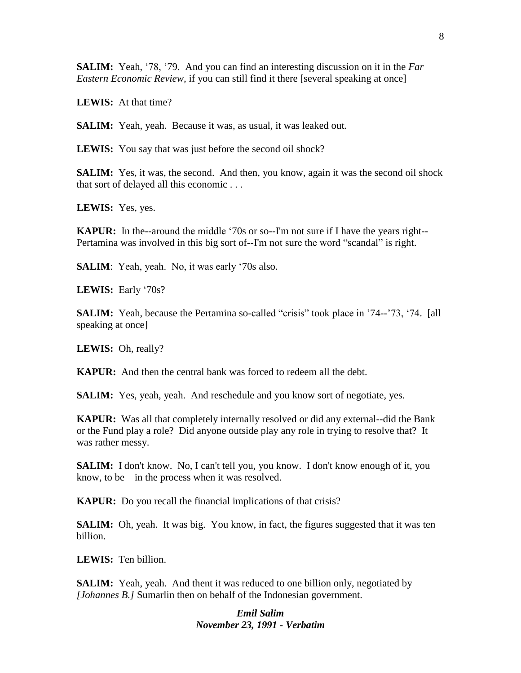**SALIM:** Yeah, '78, '79. And you can find an interesting discussion on it in the *Far Eastern Economic Review,* if you can still find it there [several speaking at once]

**LEWIS:** At that time?

**SALIM:** Yeah, yeah. Because it was, as usual, it was leaked out.

**LEWIS:** You say that was just before the second oil shock?

**SALIM:** Yes, it was, the second. And then, you know, again it was the second oil shock that sort of delayed all this economic . . .

**LEWIS:** Yes, yes.

**KAPUR:** In the--around the middle '70s or so--I'm not sure if I have the years right--Pertamina was involved in this big sort of--I'm not sure the word "scandal" is right.

**SALIM**: Yeah, yeah. No, it was early '70s also.

**LEWIS:** Early '70s?

**SALIM:** Yeah, because the Pertamina so-called "crisis" took place in '74--'73, '74. [all speaking at once]

**LEWIS:** Oh, really?

**KAPUR:** And then the central bank was forced to redeem all the debt.

**SALIM:** Yes, yeah, yeah. And reschedule and you know sort of negotiate, yes.

**KAPUR:** Was all that completely internally resolved or did any external--did the Bank or the Fund play a role? Did anyone outside play any role in trying to resolve that? It was rather messy.

**SALIM:** I don't know. No, I can't tell you, you know. I don't know enough of it, you know, to be—in the process when it was resolved.

**KAPUR:** Do you recall the financial implications of that crisis?

**SALIM:** Oh, yeah. It was big. You know, in fact, the figures suggested that it was ten billion.

**LEWIS:** Ten billion.

**SALIM:** Yeah, yeah. And thent it was reduced to one billion only, negotiated by *[Johannes B.]* Sumarlin then on behalf of the Indonesian government.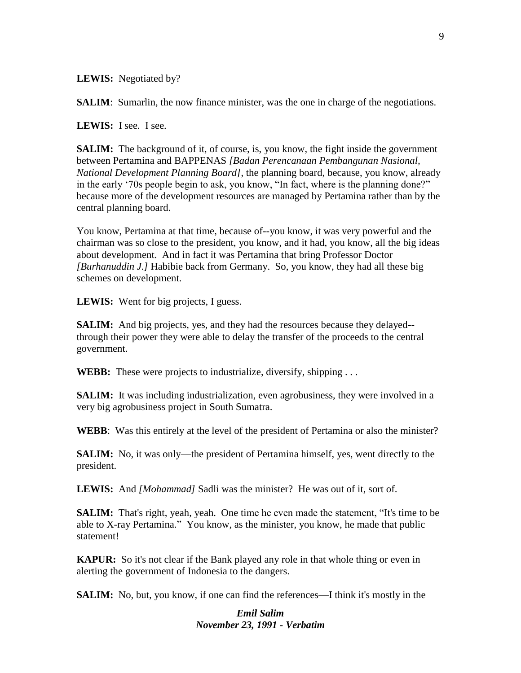**LEWIS:** Negotiated by?

**SALIM:** Sumarlin, the now finance minister, was the one in charge of the negotiations.

**LEWIS:** I see. I see.

**SALIM:** The background of it, of course, is, you know, the fight inside the government between Pertamina and BAPPENAS *[Badan Perencanaan Pembangunan Nasional, National Development Planning Board]*, the planning board, because, you know, already in the early '70s people begin to ask, you know, "In fact, where is the planning done?" because more of the development resources are managed by Pertamina rather than by the central planning board.

You know, Pertamina at that time, because of--you know, it was very powerful and the chairman was so close to the president, you know, and it had, you know, all the big ideas about development. And in fact it was Pertamina that bring Professor Doctor *[Burhanuddin J.]* Habibie back from Germany. So, you know, they had all these big schemes on development.

LEWIS: Went for big projects, I guess.

**SALIM:** And big projects, yes, and they had the resources because they delayed-through their power they were able to delay the transfer of the proceeds to the central government.

**WEBB:** These were projects to industrialize, diversify, shipping . . .

**SALIM:** It was including industrialization, even agrobusiness, they were involved in a very big agrobusiness project in South Sumatra.

**WEBB**: Was this entirely at the level of the president of Pertamina or also the minister?

**SALIM:** No, it was only—the president of Pertamina himself, yes, went directly to the president.

**LEWIS:** And *[Mohammad]* Sadli was the minister? He was out of it, sort of.

**SALIM:** That's right, yeah, yeah. One time he even made the statement, "It's time to be able to X-ray Pertamina." You know, as the minister, you know, he made that public statement!

**KAPUR:** So it's not clear if the Bank played any role in that whole thing or even in alerting the government of Indonesia to the dangers.

**SALIM:** No, but, you know, if one can find the references—I think it's mostly in the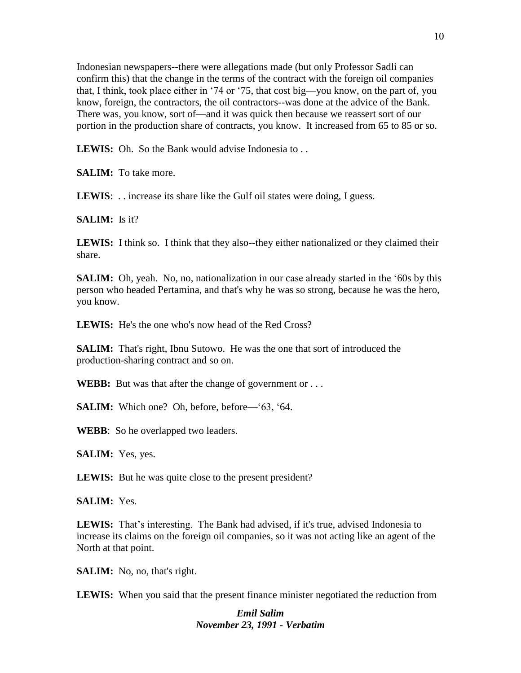Indonesian newspapers--there were allegations made (but only Professor Sadli can confirm this) that the change in the terms of the contract with the foreign oil companies that, I think, took place either in '74 or '75, that cost big—you know, on the part of, you know, foreign, the contractors, the oil contractors--was done at the advice of the Bank. There was, you know, sort of—and it was quick then because we reassert sort of our portion in the production share of contracts, you know. It increased from 65 to 85 or so.

LEWIS: Oh. So the Bank would advise Indonesia to . .

**SALIM:** To take more.

**LEWIS**: . . increase its share like the Gulf oil states were doing, I guess.

**SALIM:** Is it?

LEWIS: I think so. I think that they also--they either nationalized or they claimed their share.

**SALIM:** Oh, yeah. No, no, nationalization in our case already started in the '60s by this person who headed Pertamina, and that's why he was so strong, because he was the hero, you know.

**LEWIS:** He's the one who's now head of the Red Cross?

**SALIM:** That's right, Ibnu Sutowo. He was the one that sort of introduced the production-sharing contract and so on.

**WEBB:** But was that after the change of government or . . .

**SALIM:** Which one? Oh, before, before—'63, '64.

**WEBB**: So he overlapped two leaders.

**SALIM:** Yes, yes.

**LEWIS:** But he was quite close to the present president?

**SALIM:** Yes.

**LEWIS:** That's interesting. The Bank had advised, if it's true, advised Indonesia to increase its claims on the foreign oil companies, so it was not acting like an agent of the North at that point.

**SALIM:** No, no, that's right.

**LEWIS:** When you said that the present finance minister negotiated the reduction from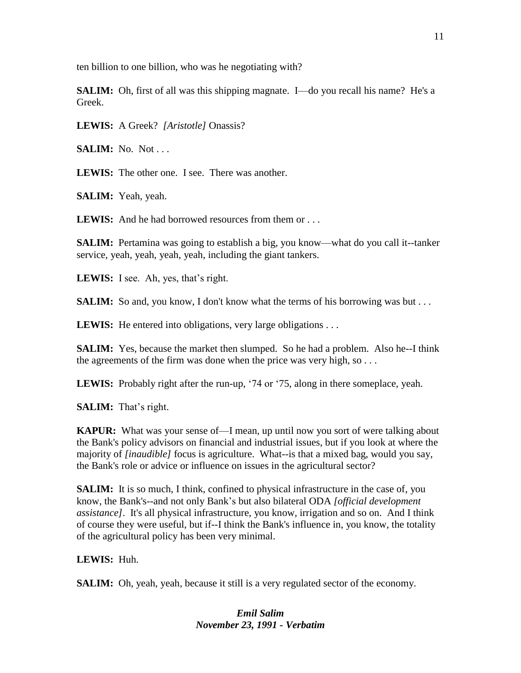ten billion to one billion, who was he negotiating with?

**SALIM:** Oh, first of all was this shipping magnate. I—do you recall his name? He's a Greek.

**LEWIS:** A Greek? *[Aristotle]* Onassis?

**SALIM:** No. Not...

**LEWIS:** The other one. I see. There was another.

**SALIM:** Yeah, yeah.

**LEWIS:** And he had borrowed resources from them or ...

**SALIM:** Pertamina was going to establish a big, you know—what do you call it-tanker service, yeah, yeah, yeah, yeah, including the giant tankers.

**LEWIS:** I see. Ah, yes, that's right.

**SALIM:** So and, you know, I don't know what the terms of his borrowing was but . . .

**LEWIS:** He entered into obligations, very large obligations ...

**SALIM:** Yes, because the market then slumped. So he had a problem. Also he--I think the agreements of the firm was done when the price was very high, so . . .

**LEWIS:** Probably right after the run-up, '74 or '75, along in there someplace, yeah.

**SALIM:** That's right.

**KAPUR:** What was your sense of—I mean, up until now you sort of were talking about the Bank's policy advisors on financial and industrial issues, but if you look at where the majority of *[inaudible]* focus is agriculture. What--is that a mixed bag, would you say, the Bank's role or advice or influence on issues in the agricultural sector?

**SALIM:** It is so much, I think, confined to physical infrastructure in the case of, you know, the Bank's--and not only Bank's but also bilateral ODA *[official development assistance]*. It's all physical infrastructure, you know, irrigation and so on. And I think of course they were useful, but if--I think the Bank's influence in, you know, the totality of the agricultural policy has been very minimal.

#### **LEWIS:** Huh.

**SALIM:** Oh, yeah, yeah, because it still is a very regulated sector of the economy.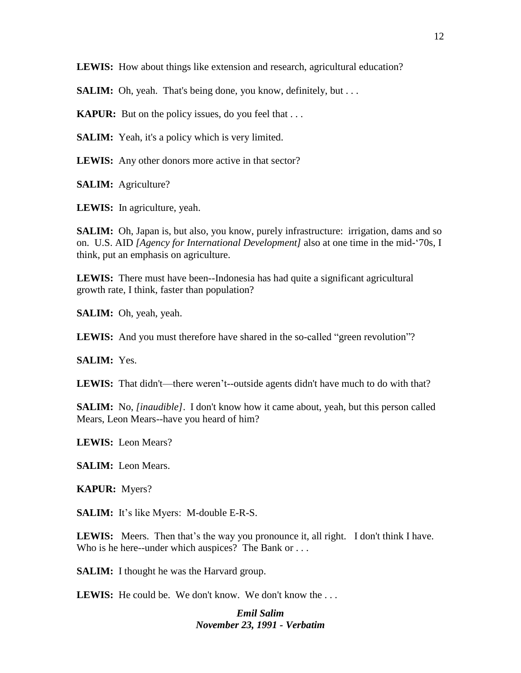**LEWIS:** How about things like extension and research, agricultural education?

**SALIM:** Oh, yeah. That's being done, you know, definitely, but . . .

**KAPUR:** But on the policy issues, do you feel that ...

**SALIM:** Yeah, it's a policy which is very limited.

**LEWIS:** Any other donors more active in that sector?

**SALIM:** Agriculture?

**LEWIS:** In agriculture, yeah.

**SALIM:** Oh, Japan is, but also, you know, purely infrastructure: irrigation, dams and so on. U.S. AID *[Agency for International Development]* also at one time in the mid-'70s, I think, put an emphasis on agriculture.

**LEWIS:** There must have been--Indonesia has had quite a significant agricultural growth rate, I think, faster than population?

**SALIM:** Oh, yeah, yeah.

**LEWIS:** And you must therefore have shared in the so-called "green revolution"?

**SALIM:** Yes.

**LEWIS:** That didn't—there weren't--outside agents didn't have much to do with that?

**SALIM:** No, *[inaudible]*. I don't know how it came about, yeah, but this person called Mears, Leon Mears--have you heard of him?

**LEWIS:** Leon Mears?

**SALIM:** Leon Mears.

**KAPUR:** Myers?

**SALIM:** It's like Myers: M-double E-R-S.

**LEWIS:** Meers. Then that's the way you pronounce it, all right. I don't think I have. Who is he here--under which auspices? The Bank or ...

**SALIM:** I thought he was the Harvard group.

LEWIS: He could be. We don't know. We don't know the ...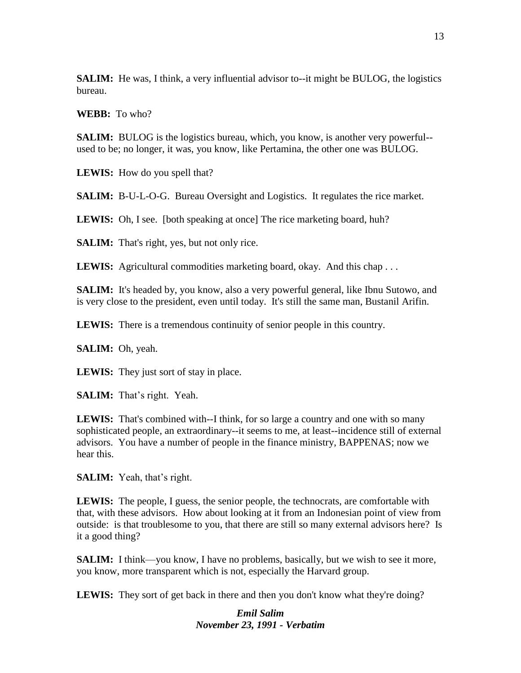**SALIM:** He was, I think, a very influential advisor to--it might be BULOG, the logistics bureau.

**WEBB:** To who?

**SALIM:** BULOG is the logistics bureau, which, you know, is another very powerful-used to be; no longer, it was, you know, like Pertamina, the other one was BULOG.

**LEWIS:** How do you spell that?

**SALIM:** B-U-L-O-G. Bureau Oversight and Logistics. It regulates the rice market.

**LEWIS:** Oh, I see. [both speaking at once] The rice marketing board, huh?

**SALIM:** That's right, yes, but not only rice.

LEWIS: Agricultural commodities marketing board, okay. And this chap ...

**SALIM:** It's headed by, you know, also a very powerful general, like Ibnu Sutowo, and is very close to the president, even until today. It's still the same man, Bustanil Arifin.

**LEWIS:** There is a tremendous continuity of senior people in this country.

**SALIM:** Oh, yeah.

**LEWIS:** They just sort of stay in place.

**SALIM:** That's right. Yeah.

**LEWIS:** That's combined with--I think, for so large a country and one with so many sophisticated people, an extraordinary--it seems to me, at least--incidence still of external advisors. You have a number of people in the finance ministry, BAPPENAS; now we hear this.

**SALIM:** Yeah, that's right.

**LEWIS:** The people, I guess, the senior people, the technocrats, are comfortable with that, with these advisors. How about looking at it from an Indonesian point of view from outside: is that troublesome to you, that there are still so many external advisors here? Is it a good thing?

**SALIM:** I think—you know, I have no problems, basically, but we wish to see it more, you know, more transparent which is not, especially the Harvard group.

**LEWIS:** They sort of get back in there and then you don't know what they're doing?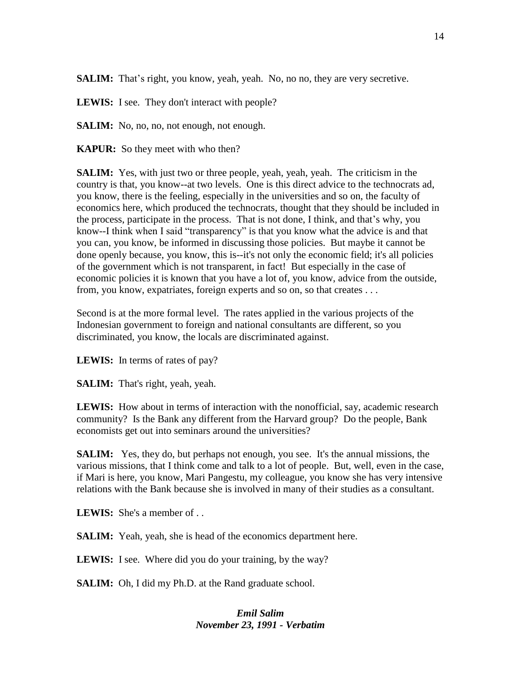**SALIM:** That's right, you know, yeah, yeah. No, no no, they are very secretive.

**LEWIS:** I see. They don't interact with people?

**SALIM:** No, no, no, not enough, not enough.

**KAPUR:** So they meet with who then?

**SALIM:** Yes, with just two or three people, yeah, yeah, yeah. The criticism in the country is that, you know--at two levels. One is this direct advice to the technocrats ad, you know, there is the feeling, especially in the universities and so on, the faculty of economics here, which produced the technocrats, thought that they should be included in the process, participate in the process. That is not done, I think, and that's why, you know--I think when I said "transparency" is that you know what the advice is and that you can, you know, be informed in discussing those policies. But maybe it cannot be done openly because, you know, this is--it's not only the economic field; it's all policies of the government which is not transparent, in fact! But especially in the case of economic policies it is known that you have a lot of, you know, advice from the outside, from, you know, expatriates, foreign experts and so on, so that creates . . .

Second is at the more formal level. The rates applied in the various projects of the Indonesian government to foreign and national consultants are different, so you discriminated, you know, the locals are discriminated against.

**LEWIS:** In terms of rates of pay?

**SALIM:** That's right, yeah, yeah.

LEWIS: How about in terms of interaction with the nonofficial, say, academic research community? Is the Bank any different from the Harvard group? Do the people, Bank economists get out into seminars around the universities?

**SALIM:** Yes, they do, but perhaps not enough, you see. It's the annual missions, the various missions, that I think come and talk to a lot of people. But, well, even in the case, if Mari is here, you know, Mari Pangestu, my colleague, you know she has very intensive relations with the Bank because she is involved in many of their studies as a consultant.

**LEWIS:** She's a member of . .

**SALIM:** Yeah, yeah, she is head of the economics department here.

**LEWIS:** I see. Where did you do your training, by the way?

**SALIM:** Oh, I did my Ph.D. at the Rand graduate school.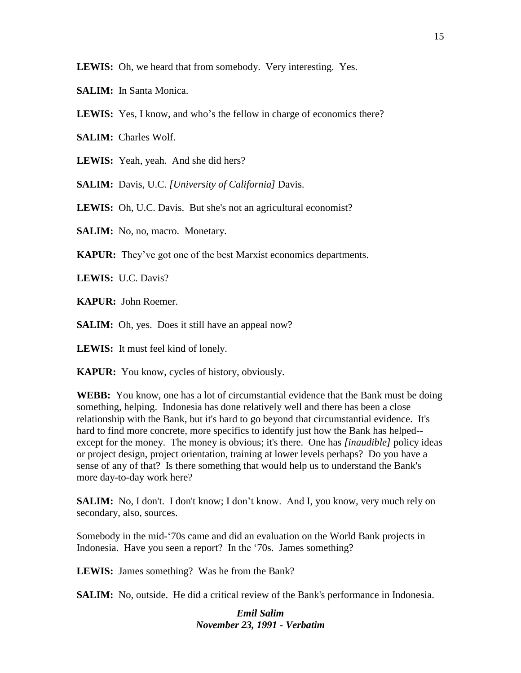**LEWIS:** Oh, we heard that from somebody. Very interesting. Yes.

- **SALIM:** In Santa Monica.
- **LEWIS:** Yes, I know, and who's the fellow in charge of economics there?
- **SALIM:** Charles Wolf.

**LEWIS:** Yeah, yeah. And she did hers?

**SALIM:** Davis, U.C. *[University of California]* Davis.

**LEWIS:** Oh, U.C. Davis. But she's not an agricultural economist?

**SALIM:** No, no, macro. Monetary.

**KAPUR:** They've got one of the best Marxist economics departments.

**LEWIS:** U.C. Davis?

**KAPUR:** John Roemer.

**SALIM:** Oh, yes. Does it still have an appeal now?

**LEWIS:** It must feel kind of lonely.

**KAPUR:** You know, cycles of history, obviously.

**WEBB:** You know, one has a lot of circumstantial evidence that the Bank must be doing something, helping. Indonesia has done relatively well and there has been a close relationship with the Bank, but it's hard to go beyond that circumstantial evidence. It's hard to find more concrete, more specifics to identify just how the Bank has helped- except for the money. The money is obvious; it's there. One has *[inaudible]* policy ideas or project design, project orientation, training at lower levels perhaps? Do you have a sense of any of that? Is there something that would help us to understand the Bank's more day-to-day work here?

**SALIM:** No, I don't. I don't know; I don't know. And I, you know, very much rely on secondary, also, sources.

Somebody in the mid-'70s came and did an evaluation on the World Bank projects in Indonesia. Have you seen a report? In the '70s. James something?

**LEWIS:** James something? Was he from the Bank?

**SALIM:** No, outside. He did a critical review of the Bank's performance in Indonesia.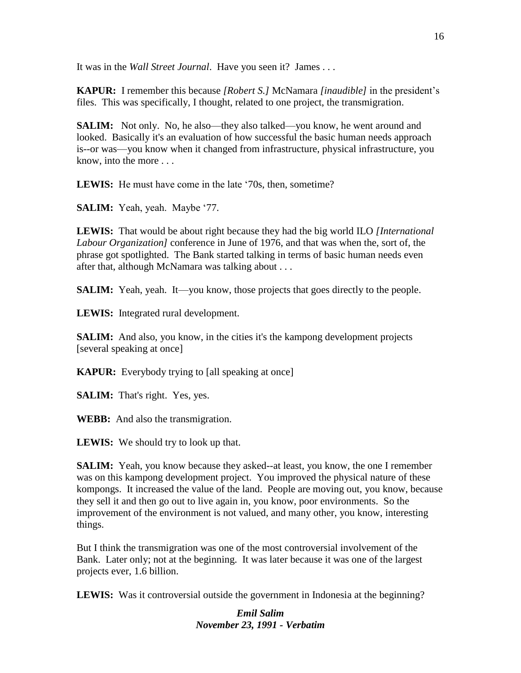It was in the *Wall Street Journal*. Have you seen it? James . . .

**KAPUR:** I remember this because *[Robert S.]* McNamara *[inaudible]* in the president's files. This was specifically, I thought, related to one project, the transmigration.

**SALIM:** Not only. No, he also—they also talked—you know, he went around and looked. Basically it's an evaluation of how successful the basic human needs approach is--or was—you know when it changed from infrastructure, physical infrastructure, you know, into the more . . .

**LEWIS:** He must have come in the late '70s, then, sometime?

**SALIM:** Yeah, yeah. Maybe '77.

**LEWIS:** That would be about right because they had the big world ILO *[International Labour Organization]* conference in June of 1976, and that was when the, sort of, the phrase got spotlighted. The Bank started talking in terms of basic human needs even after that, although McNamara was talking about . . .

**SALIM:** Yeah, yeah. It—you know, those projects that goes directly to the people.

**LEWIS:** Integrated rural development.

**SALIM:** And also, you know, in the cities it's the kampong development projects [several speaking at once]

**KAPUR:** Everybody trying to [all speaking at once]

**SALIM:** That's right. Yes, yes.

**WEBB:** And also the transmigration.

**LEWIS:** We should try to look up that.

**SALIM:** Yeah, you know because they asked--at least, you know, the one I remember was on this kampong development project. You improved the physical nature of these kompongs. It increased the value of the land. People are moving out, you know, because they sell it and then go out to live again in, you know, poor environments. So the improvement of the environment is not valued, and many other, you know, interesting things.

But I think the transmigration was one of the most controversial involvement of the Bank. Later only; not at the beginning. It was later because it was one of the largest projects ever, 1.6 billion.

**LEWIS:** Was it controversial outside the government in Indonesia at the beginning?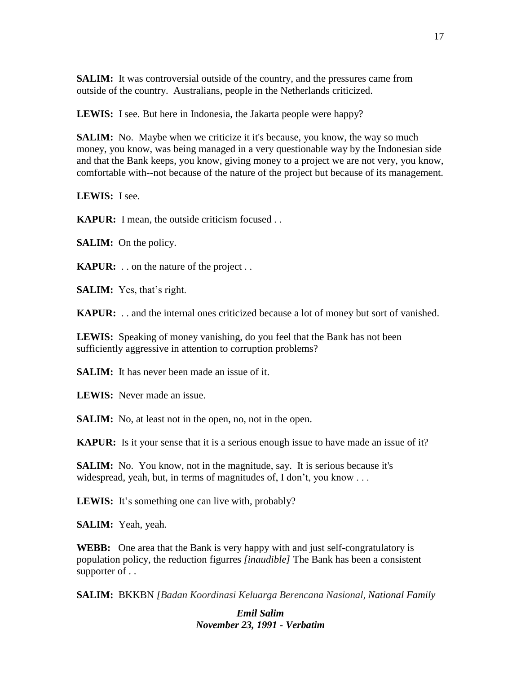**SALIM:** It was controversial outside of the country, and the pressures came from outside of the country. Australians, people in the Netherlands criticized.

**LEWIS:** I see. But here in Indonesia, the Jakarta people were happy?

**SALIM:** No. Maybe when we criticize it it's because, you know, the way so much money, you know, was being managed in a very questionable way by the Indonesian side and that the Bank keeps, you know, giving money to a project we are not very, you know, comfortable with--not because of the nature of the project but because of its management.

**LEWIS:** I see.

**KAPUR:** I mean, the outside criticism focused . .

**SALIM:** On the policy.

**KAPUR:** . . on the nature of the project . .

**SALIM:** Yes, that's right.

**KAPUR:** . . and the internal ones criticized because a lot of money but sort of vanished.

**LEWIS:** Speaking of money vanishing, do you feel that the Bank has not been sufficiently aggressive in attention to corruption problems?

**SALIM:** It has never been made an issue of it.

**LEWIS:** Never made an issue.

**SALIM:** No, at least not in the open, no, not in the open.

**KAPUR:** Is it your sense that it is a serious enough issue to have made an issue of it?

**SALIM:** No. You know, not in the magnitude, say. It is serious because it's widespread, yeah, but, in terms of magnitudes of, I don't, you know ...

**LEWIS:** It's something one can live with, probably?

**SALIM:** Yeah, yeah.

**WEBB:** One area that the Bank is very happy with and just self-congratulatory is population policy, the reduction figurres *[inaudible]* The Bank has been a consistent supporter of . .

**SALIM:** BKKBN *[Badan Koordinasi Keluarga Berencana Nasional, National Family*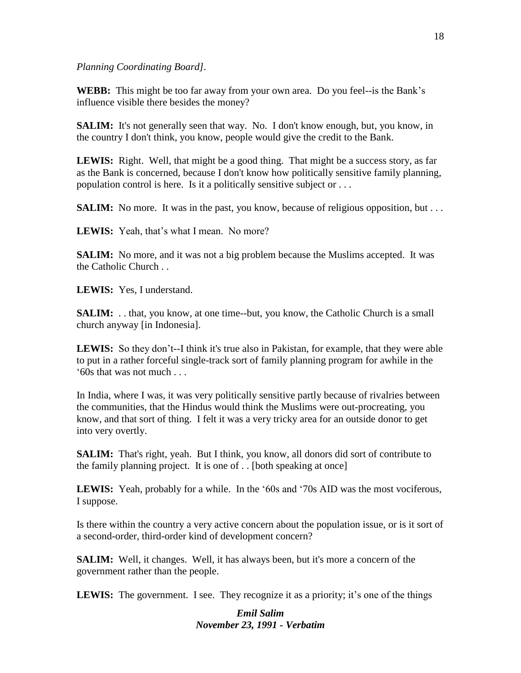## *Planning Coordinating Board].*

**WEBB:** This might be too far away from your own area. Do you feel--is the Bank's influence visible there besides the money?

**SALIM:** It's not generally seen that way. No. I don't know enough, but, you know, in the country I don't think, you know, people would give the credit to the Bank.

**LEWIS:** Right. Well, that might be a good thing. That might be a success story, as far as the Bank is concerned, because I don't know how politically sensitive family planning, population control is here. Is it a politically sensitive subject or . . .

**SALIM:** No more. It was in the past, you know, because of religious opposition, but ...

**LEWIS:** Yeah, that's what I mean. No more?

**SALIM:** No more, and it was not a big problem because the Muslims accepted. It was the Catholic Church . .

**LEWIS:** Yes, I understand.

**SALIM:** . . that, you know, at one time--but, you know, the Catholic Church is a small church anyway [in Indonesia].

**LEWIS:** So they don't--I think it's true also in Pakistan, for example, that they were able to put in a rather forceful single-track sort of family planning program for awhile in the '60s that was not much . . .

In India, where I was, it was very politically sensitive partly because of rivalries between the communities, that the Hindus would think the Muslims were out-procreating, you know, and that sort of thing. I felt it was a very tricky area for an outside donor to get into very overtly.

**SALIM:** That's right, yeah. But I think, you know, all donors did sort of contribute to the family planning project. It is one of . . [both speaking at once]

**LEWIS:** Yeah, probably for a while. In the '60s and '70s AID was the most vociferous, I suppose.

Is there within the country a very active concern about the population issue, or is it sort of a second-order, third-order kind of development concern?

**SALIM:** Well, it changes. Well, it has always been, but it's more a concern of the government rather than the people.

**LEWIS:** The government. I see. They recognize it as a priority; it's one of the things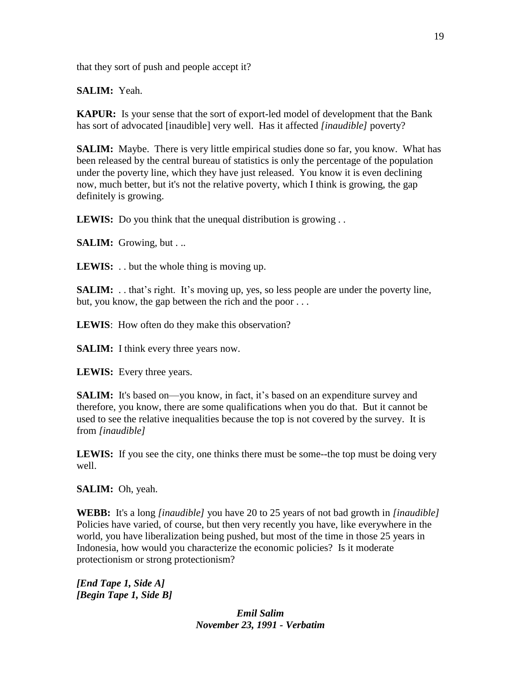that they sort of push and people accept it?

**SALIM:** Yeah.

**KAPUR:** Is your sense that the sort of export-led model of development that the Bank has sort of advocated [inaudible] very well. Has it affected *[inaudible]* poverty?

**SALIM:** Maybe. There is very little empirical studies done so far, you know. What has been released by the central bureau of statistics is only the percentage of the population under the poverty line, which they have just released. You know it is even declining now, much better, but it's not the relative poverty, which I think is growing, the gap definitely is growing.

**LEWIS:** Do you think that the unequal distribution is growing . .

**SALIM:** Growing, but . ..

**LEWIS:** . . but the whole thing is moving up.

**SALIM:** . . that's right. It's moving up, yes, so less people are under the poverty line, but, you know, the gap between the rich and the poor . . .

**LEWIS**: How often do they make this observation?

**SALIM:** I think every three years now.

**LEWIS:** Every three years.

**SALIM:** It's based on—you know, in fact, it's based on an expenditure survey and therefore, you know, there are some qualifications when you do that. But it cannot be used to see the relative inequalities because the top is not covered by the survey. It is from *[inaudible]*

**LEWIS:** If you see the city, one thinks there must be some-the top must be doing very well.

**SALIM:** Oh, yeah.

**WEBB:** It's a long *[inaudible]* you have 20 to 25 years of not bad growth in *[inaudible]*  Policies have varied, of course, but then very recently you have, like everywhere in the world, you have liberalization being pushed, but most of the time in those 25 years in Indonesia, how would you characterize the economic policies? Is it moderate protectionism or strong protectionism?

*[End Tape 1, Side A] [Begin Tape 1, Side B]*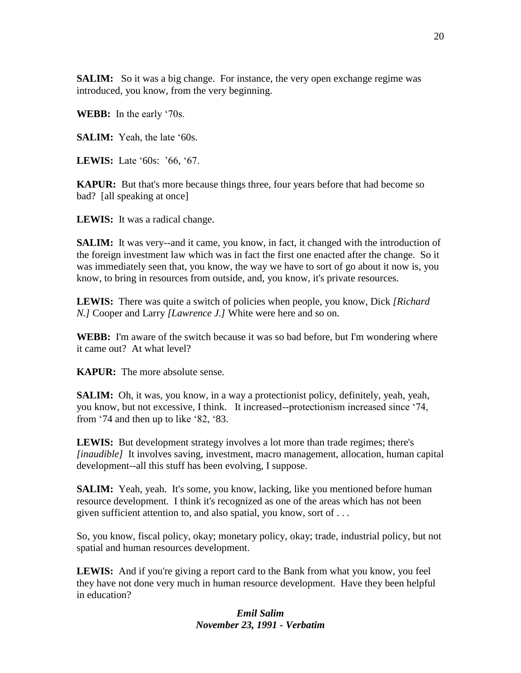**SALIM:** So it was a big change. For instance, the very open exchange regime was introduced, you know, from the very beginning.

**WEBB:** In the early '70s.

**SALIM:** Yeah, the late '60s.

**LEWIS:** Late '60s: '66, '67.

**KAPUR:** But that's more because things three, four years before that had become so bad? [all speaking at once]

**LEWIS:** It was a radical change.

**SALIM:** It was very--and it came, you know, in fact, it changed with the introduction of the foreign investment law which was in fact the first one enacted after the change. So it was immediately seen that, you know, the way we have to sort of go about it now is, you know, to bring in resources from outside, and, you know, it's private resources.

**LEWIS:** There was quite a switch of policies when people, you know, Dick *[Richard N.]* Cooper and Larry *[Lawrence J.]* White were here and so on.

**WEBB:** I'm aware of the switch because it was so bad before, but I'm wondering where it came out? At what level?

**KAPUR:** The more absolute sense.

**SALIM:** Oh, it was, you know, in a way a protectionist policy, definitely, yeah, yeah, you know, but not excessive, I think. It increased--protectionism increased since '74, from '74 and then up to like '82, '83.

**LEWIS:** But development strategy involves a lot more than trade regimes; there's *[inaudible]* It involves saving, investment, macro management, allocation, human capital development--all this stuff has been evolving, I suppose.

**SALIM:** Yeah, yeah. It's some, you know, lacking, like you mentioned before human resource development. I think it's recognized as one of the areas which has not been given sufficient attention to, and also spatial, you know, sort of . . .

So, you know, fiscal policy, okay; monetary policy, okay; trade, industrial policy, but not spatial and human resources development.

**LEWIS:** And if you're giving a report card to the Bank from what you know, you feel they have not done very much in human resource development. Have they been helpful in education?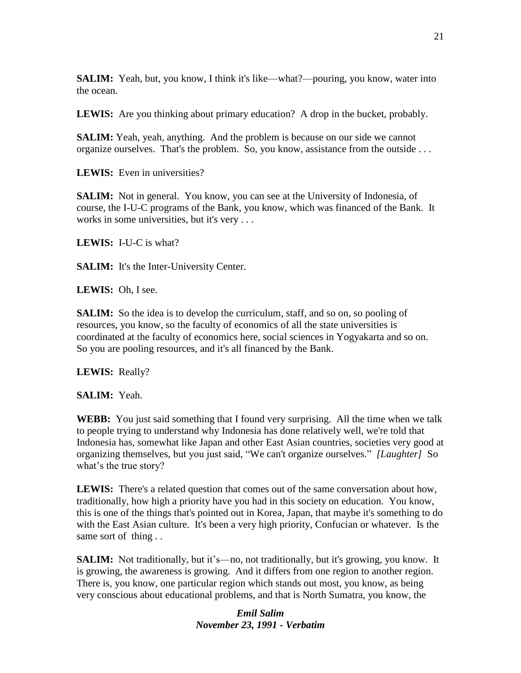**SALIM:** Yeah, but, you know, I think it's like—what?—pouring, you know, water into the ocean.

**LEWIS:** Are you thinking about primary education? A drop in the bucket, probably.

**SALIM:** Yeah, yeah, anything. And the problem is because on our side we cannot organize ourselves. That's the problem. So, you know, assistance from the outside . . .

**LEWIS:** Even in universities?

**SALIM:** Not in general. You know, you can see at the University of Indonesia, of course, the I-U-C programs of the Bank, you know, which was financed of the Bank. It works in some universities, but it's very . . .

**LEWIS:** I-U-C is what?

**SALIM:** It's the Inter-University Center.

**LEWIS:** Oh, I see.

**SALIM:** So the idea is to develop the curriculum, staff, and so on, so pooling of resources, you know, so the faculty of economics of all the state universities is coordinated at the faculty of economics here, social sciences in Yogyakarta and so on. So you are pooling resources, and it's all financed by the Bank.

**LEWIS:** Really?

**SALIM:** Yeah.

**WEBB:** You just said something that I found very surprising. All the time when we talk to people trying to understand why Indonesia has done relatively well, we're told that Indonesia has, somewhat like Japan and other East Asian countries, societies very good at organizing themselves, but you just said, "We can't organize ourselves." *[Laughter]* So what's the true story?

**LEWIS:** There's a related question that comes out of the same conversation about how, traditionally, how high a priority have you had in this society on education. You know, this is one of the things that's pointed out in Korea, Japan, that maybe it's something to do with the East Asian culture. It's been a very high priority, Confucian or whatever. Is the same sort of thing ...

**SALIM:** Not traditionally, but it's—no, not traditionally, but it's growing, you know. It is growing, the awareness is growing. And it differs from one region to another region. There is, you know, one particular region which stands out most, you know, as being very conscious about educational problems, and that is North Sumatra, you know, the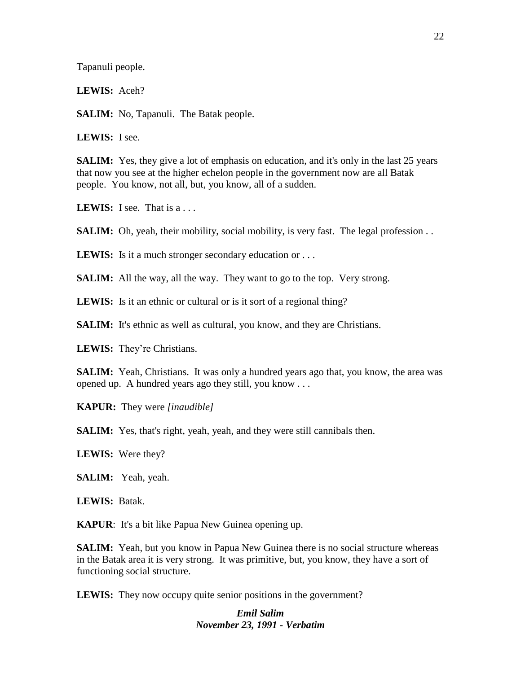Tapanuli people.

**LEWIS:** Aceh?

**SALIM:** No, Tapanuli. The Batak people.

**LEWIS:** I see.

**SALIM:** Yes, they give a lot of emphasis on education, and it's only in the last 25 years that now you see at the higher echelon people in the government now are all Batak people. You know, not all, but, you know, all of a sudden.

**LEWIS:** I see. That is a . . .

**SALIM:** Oh, yeah, their mobility, social mobility, is very fast. The legal profession . .

**LEWIS:** Is it a much stronger secondary education or ...

**SALIM:** All the way, all the way. They want to go to the top. Very strong.

LEWIS: Is it an ethnic or cultural or is it sort of a regional thing?

**SALIM:** It's ethnic as well as cultural, you know, and they are Christians.

**LEWIS:** They're Christians.

**SALIM:** Yeah, Christians. It was only a hundred years ago that, you know, the area was opened up. A hundred years ago they still, you know . . .

**KAPUR:** They were *[inaudible]*

**SALIM:** Yes, that's right, yeah, yeah, and they were still cannibals then.

**LEWIS:** Were they?

**SALIM:** Yeah, yeah.

**LEWIS:** Batak.

**KAPUR**: It's a bit like Papua New Guinea opening up.

**SALIM:** Yeah, but you know in Papua New Guinea there is no social structure whereas in the Batak area it is very strong. It was primitive, but, you know, they have a sort of functioning social structure.

**LEWIS:** They now occupy quite senior positions in the government?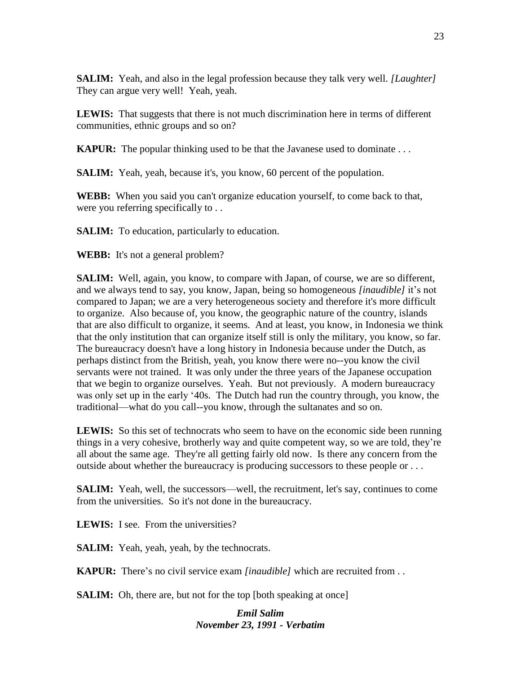**SALIM:** Yeah, and also in the legal profession because they talk very well. *[Laughter]* They can argue very well! Yeah, yeah.

**LEWIS:** That suggests that there is not much discrimination here in terms of different communities, ethnic groups and so on?

**KAPUR:** The popular thinking used to be that the Javanese used to dominate ...

**SALIM:** Yeah, yeah, because it's, you know, 60 percent of the population.

**WEBB:** When you said you can't organize education yourself, to come back to that, were you referring specifically to . .

**SALIM:** To education, particularly to education.

**WEBB:** It's not a general problem?

**SALIM:** Well, again, you know, to compare with Japan, of course, we are so different, and we always tend to say, you know, Japan, being so homogeneous *[inaudible]* it's not compared to Japan; we are a very heterogeneous society and therefore it's more difficult to organize. Also because of, you know, the geographic nature of the country, islands that are also difficult to organize, it seems. And at least, you know, in Indonesia we think that the only institution that can organize itself still is only the military, you know, so far. The bureaucracy doesn't have a long history in Indonesia because under the Dutch, as perhaps distinct from the British, yeah, you know there were no--you know the civil servants were not trained. It was only under the three years of the Japanese occupation that we begin to organize ourselves. Yeah. But not previously. A modern bureaucracy was only set up in the early '40s. The Dutch had run the country through, you know, the traditional—what do you call--you know, through the sultanates and so on.

**LEWIS:** So this set of technocrats who seem to have on the economic side been running things in a very cohesive, brotherly way and quite competent way, so we are told, they're all about the same age. They're all getting fairly old now. Is there any concern from the outside about whether the bureaucracy is producing successors to these people or . . .

**SALIM:** Yeah, well, the successors—well, the recruitment, let's say, continues to come from the universities. So it's not done in the bureaucracy.

**LEWIS:** I see. From the universities?

**SALIM:** Yeah, yeah, yeah, by the technocrats.

**KAPUR:** There's no civil service exam *[inaudible]* which are recruited from . .

**SALIM:** Oh, there are, but not for the top [both speaking at once]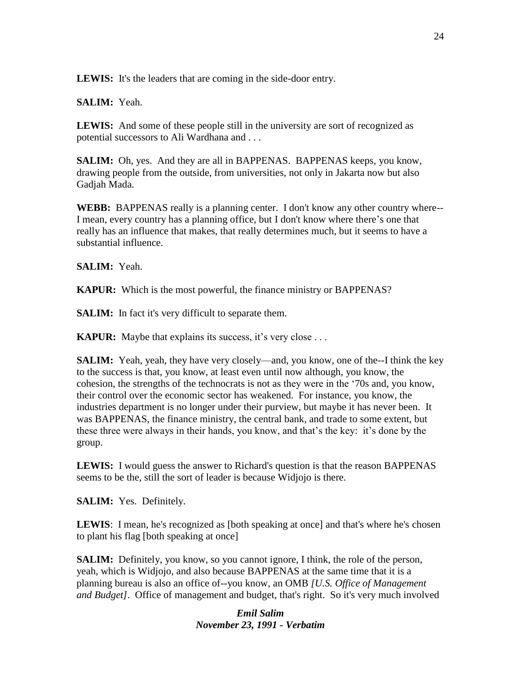**LEWIS:** It's the leaders that are coming in the side-door entry.

**SALIM:** Yeah.

**LEWIS:** And some of these people still in the university are sort of recognized as potential successors to Ali Wardhana and . . .

**SALIM:** Oh, yes. And they are all in BAPPENAS. BAPPENAS keeps, you know, drawing people from the outside, from universities, not only in Jakarta now but also Gadjah Mada.

**WEBB:** BAPPENAS really is a planning center. I don't know any other country where-- I mean, every country has a planning office, but I don't know where there's one that really has an influence that makes, that really determines much, but it seems to have a substantial influence.

**SALIM:** Yeah.

**KAPUR:** Which is the most powerful, the finance ministry or BAPPENAS?

**SALIM:** In fact it's very difficult to separate them.

**KAPUR:** Maybe that explains its success, it's very close ...

**SALIM:** Yeah, yeah, they have very closely—and, you know, one of the--I think the key to the success is that, you know, at least even until now although, you know, the cohesion, the strengths of the technocrats is not as they were in the '70s and, you know, their control over the economic sector has weakened. For instance, you know, the industries department is no longer under their purview, but maybe it has never been. It was BAPPENAS, the finance ministry, the central bank, and trade to some extent, but these three were always in their hands, you know, and that's the key: it's done by the group.

**LEWIS:** I would guess the answer to Richard's question is that the reason BAPPENAS seems to be the, still the sort of leader is because Widjojo is there.

**SALIM:** Yes. Definitely.

**LEWIS**: I mean, he's recognized as [both speaking at once] and that's where he's chosen to plant his flag [both speaking at once]

**SALIM:** Definitely, you know, so you cannot ignore, I think, the role of the person, yeah, which is Widjojo, and also because BAPPENAS at the same time that it is a planning bureau is also an office of--you know, an OMB *[U.S. Office of Management and Budget]*. Office of management and budget, that's right. So it's very much involved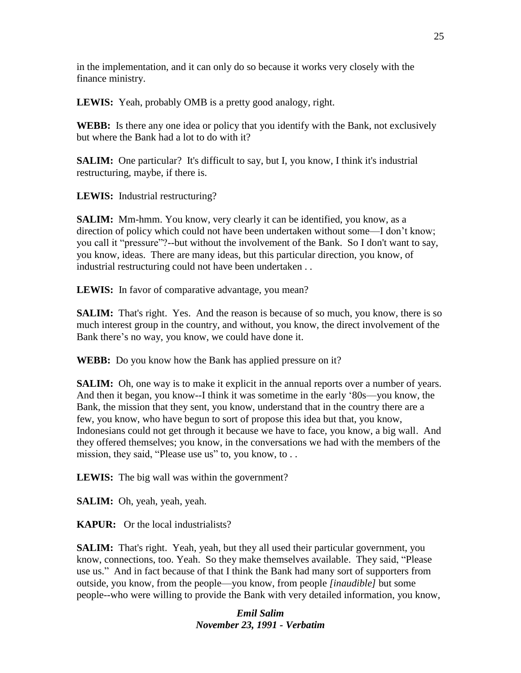in the implementation, and it can only do so because it works very closely with the finance ministry.

**LEWIS:** Yeah, probably OMB is a pretty good analogy, right.

**WEBB:** Is there any one idea or policy that you identify with the Bank, not exclusively but where the Bank had a lot to do with it?

**SALIM:** One particular? It's difficult to say, but I, you know, I think it's industrial restructuring, maybe, if there is.

**LEWIS:** Industrial restructuring?

**SALIM:** Mm-hmm. You know, very clearly it can be identified, you know, as a direction of policy which could not have been undertaken without some—I don't know; you call it "pressure"?--but without the involvement of the Bank. So I don't want to say, you know, ideas. There are many ideas, but this particular direction, you know, of industrial restructuring could not have been undertaken . .

LEWIS: In favor of comparative advantage, you mean?

**SALIM:** That's right. Yes. And the reason is because of so much, you know, there is so much interest group in the country, and without, you know, the direct involvement of the Bank there's no way, you know, we could have done it.

**WEBB:** Do you know how the Bank has applied pressure on it?

**SALIM:** Oh, one way is to make it explicit in the annual reports over a number of years. And then it began, you know--I think it was sometime in the early '80s—you know, the Bank, the mission that they sent, you know, understand that in the country there are a few, you know, who have begun to sort of propose this idea but that, you know, Indonesians could not get through it because we have to face, you know, a big wall. And they offered themselves; you know, in the conversations we had with the members of the mission, they said, "Please use us" to, you know, to . .

**LEWIS:** The big wall was within the government?

**SALIM:** Oh, yeah, yeah, yeah.

**KAPUR:** Or the local industrialists?

**SALIM:** That's right. Yeah, yeah, but they all used their particular government, you know, connections, too. Yeah. So they make themselves available. They said, "Please use us." And in fact because of that I think the Bank had many sort of supporters from outside, you know, from the people—you know, from people *[inaudible]* but some people--who were willing to provide the Bank with very detailed information, you know,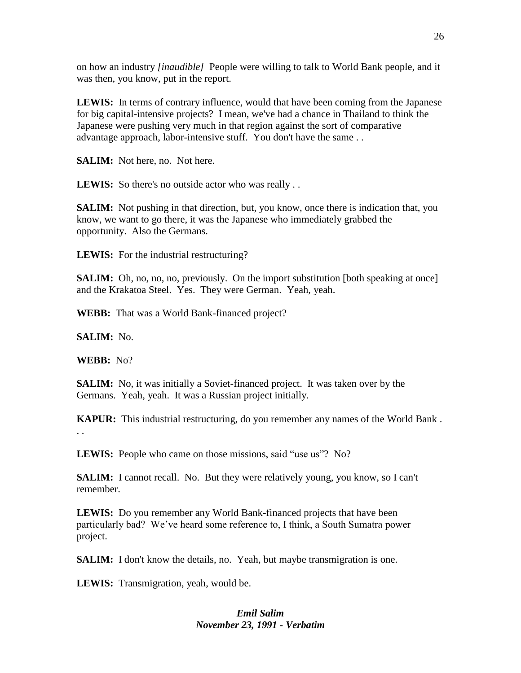on how an industry *[inaudible]* People were willing to talk to World Bank people, and it was then, you know, put in the report.

**LEWIS:** In terms of contrary influence, would that have been coming from the Japanese for big capital-intensive projects? I mean, we've had a chance in Thailand to think the Japanese were pushing very much in that region against the sort of comparative advantage approach, labor-intensive stuff. You don't have the same . .

**SALIM:** Not here, no. Not here.

**LEWIS:** So there's no outside actor who was really . .

**SALIM:** Not pushing in that direction, but, you know, once there is indication that, you know, we want to go there, it was the Japanese who immediately grabbed the opportunity. Also the Germans.

**LEWIS:** For the industrial restructuring?

**SALIM:** Oh, no, no, no, previously. On the import substitution [both speaking at once] and the Krakatoa Steel. Yes. They were German. Yeah, yeah.

**WEBB:** That was a World Bank-financed project?

**SALIM:** No.

**WEBB:** No?

**SALIM:** No, it was initially a Soviet-financed project. It was taken over by the Germans. Yeah, yeah. It was a Russian project initially.

**KAPUR:** This industrial restructuring, do you remember any names of the World Bank . . .

**LEWIS:** People who came on those missions, said "use us"? No?

**SALIM:** I cannot recall. No. But they were relatively young, you know, so I can't remember.

**LEWIS:** Do you remember any World Bank-financed projects that have been particularly bad? We've heard some reference to, I think, a South Sumatra power project.

**SALIM:** I don't know the details, no. Yeah, but maybe transmigration is one.

**LEWIS:** Transmigration, yeah, would be.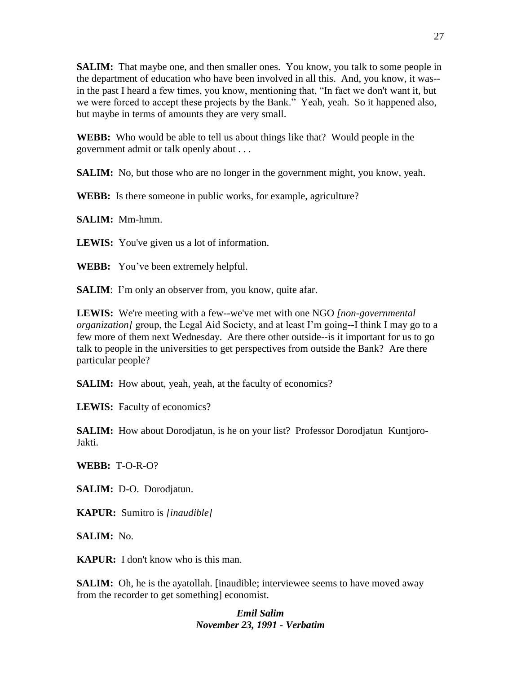**SALIM:** That maybe one, and then smaller ones. You know, you talk to some people in the department of education who have been involved in all this. And, you know, it was- in the past I heard a few times, you know, mentioning that, "In fact we don't want it, but we were forced to accept these projects by the Bank." Yeah, yeah. So it happened also, but maybe in terms of amounts they are very small.

**WEBB:** Who would be able to tell us about things like that? Would people in the government admit or talk openly about . . .

**SALIM:** No, but those who are no longer in the government might, you know, yeah.

**WEBB:** Is there someone in public works, for example, agriculture?

**SALIM:** Mm-hmm.

**LEWIS:** You've given us a lot of information.

**WEBB:** You've been extremely helpful.

**SALIM**: I'm only an observer from, you know, quite afar.

**LEWIS:** We're meeting with a few--we've met with one NGO *[non-governmental organization]* group, the Legal Aid Society, and at least I'm going--I think I may go to a few more of them next Wednesday. Are there other outside--is it important for us to go talk to people in the universities to get perspectives from outside the Bank? Are there particular people?

**SALIM:** How about, yeah, yeah, at the faculty of economics?

**LEWIS:** Faculty of economics?

**SALIM:** How about Dorodjatun, is he on your list? Professor Dorodjatun Kuntjoro-Jakti.

**WEBB:** T-O-R-O?

**SALIM:** D-O. Dorodjatun.

**KAPUR:** Sumitro is *[inaudible]* 

**SALIM:** No.

**KAPUR:** I don't know who is this man.

**SALIM:** Oh, he is the ayatollah. [inaudible; interviewee seems to have moved away from the recorder to get something] economist.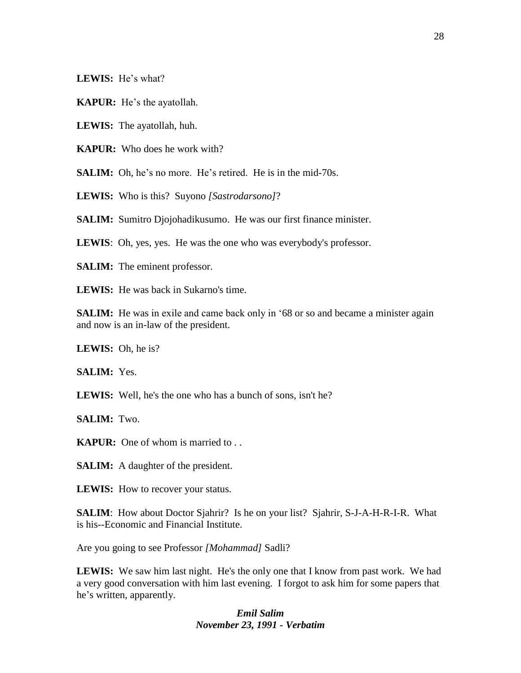**LEWIS:** He's what?

**KAPUR:** He's the ayatollah.

**LEWIS:** The ayatollah, huh.

**KAPUR:** Who does he work with?

**SALIM:** Oh, he's no more. He's retired. He is in the mid-70s.

**LEWIS:** Who is this? Suyono *[Sastrodarsono]*?

**SALIM:** Sumitro Djojohadikusumo. He was our first finance minister.

LEWIS: Oh, yes, yes. He was the one who was everybody's professor.

**SALIM:** The eminent professor.

**LEWIS:** He was back in Sukarno's time.

**SALIM:** He was in exile and came back only in '68 or so and became a minister again and now is an in-law of the president.

**LEWIS:** Oh, he is?

**SALIM:** Yes.

**LEWIS:** Well, he's the one who has a bunch of sons, isn't he?

**SALIM:** Two.

**KAPUR:** One of whom is married to ...

**SALIM:** A daughter of the president.

**LEWIS:** How to recover your status.

**SALIM**: How about Doctor Sjahrir? Is he on your list? Sjahrir, S-J-A-H-R-I-R. What is his--Economic and Financial Institute.

Are you going to see Professor *[Mohammad]* Sadli?

**LEWIS:** We saw him last night. He's the only one that I know from past work. We had a very good conversation with him last evening. I forgot to ask him for some papers that he's written, apparently.